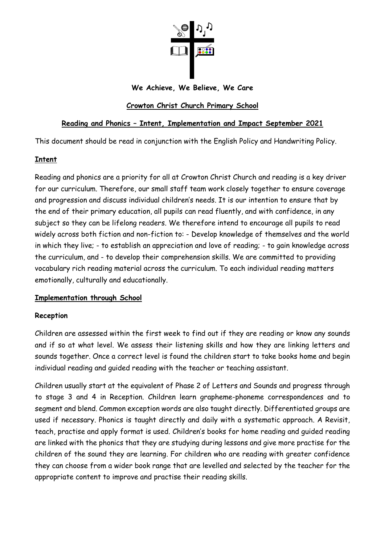

### **We Achieve, We Believe, We Care**

# **Crowton Christ Church Primary School**

# **Reading and Phonics – Intent, Implementation and Impact September 2021**

This document should be read in conjunction with the English Policy and Handwriting Policy.

## **Intent**

Reading and phonics are a priority for all at Crowton Christ Church and reading is a key driver for our curriculum. Therefore, our small staff team work closely together to ensure coverage and progression and discuss individual children's needs. It is our intention to ensure that by the end of their primary education, all pupils can read fluently, and with confidence, in any subject so they can be lifelong readers. We therefore intend to encourage all pupils to read widely across both fiction and non-fiction to: - Develop knowledge of themselves and the world in which they live; - to establish an appreciation and love of reading; - to gain knowledge across the curriculum, and - to develop their comprehension skills. We are committed to providing vocabulary rich reading material across the curriculum. To each individual reading matters emotionally, culturally and educationally.

## **Implementation through School**

### **Reception**

Children are assessed within the first week to find out if they are reading or know any sounds and if so at what level. We assess their listening skills and how they are linking letters and sounds together. Once a correct level is found the children start to take books home and begin individual reading and guided reading with the teacher or teaching assistant.

Children usually start at the equivalent of Phase 2 of Letters and Sounds and progress through to stage 3 and 4 in Reception. Children learn grapheme-phoneme correspondences and to segment and blend. Common exception words are also taught directly. Differentiated groups are used if necessary. Phonics is taught directly and daily with a systematic approach. A Revisit, teach, practise and apply format is used. Children's books for home reading and guided reading are linked with the phonics that they are studying during lessons and give more practise for the children of the sound they are learning. For children who are reading with greater confidence they can choose from a wider book range that are levelled and selected by the teacher for the appropriate content to improve and practise their reading skills.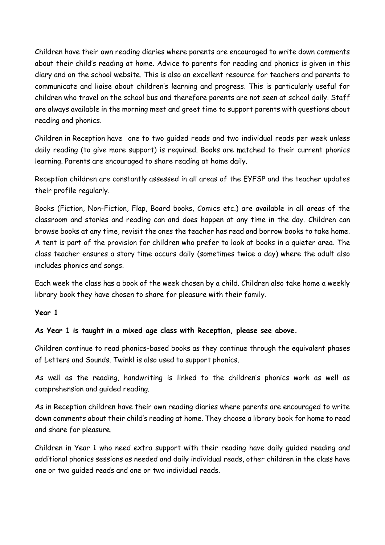Children have their own reading diaries where parents are encouraged to write down comments about their child's reading at home. Advice to parents for reading and phonics is given in this diary and on the school website. This is also an excellent resource for teachers and parents to communicate and liaise about children's learning and progress. This is particularly useful for children who travel on the school bus and therefore parents are not seen at school daily. Staff are always available in the morning meet and greet time to support parents with questions about reading and phonics.

Children in Reception have one to two guided reads and two individual reads per week unless daily reading (to give more support) is required. Books are matched to their current phonics learning. Parents are encouraged to share reading at home daily.

Reception children are constantly assessed in all areas of the EYFSP and the teacher updates their profile regularly.

Books (Fiction, Non-Fiction, Flap, Board books, Comics etc.) are available in all areas of the classroom and stories and reading can and does happen at any time in the day. Children can browse books at any time, revisit the ones the teacher has read and borrow books to take home. A tent is part of the provision for children who prefer to look at books in a quieter area. The class teacher ensures a story time occurs daily (sometimes twice a day) where the adult also includes phonics and songs.

Each week the class has a book of the week chosen by a child. Children also take home a weekly library book they have chosen to share for pleasure with their family.

### **Year 1**

## **As Year 1 is taught in a mixed age class with Reception, please see above.**

Children continue to read phonics-based books as they continue through the equivalent phases of Letters and Sounds. Twinkl is also used to support phonics.

As well as the reading, handwriting is linked to the children's phonics work as well as comprehension and guided reading.

As in Reception children have their own reading diaries where parents are encouraged to write down comments about their child's reading at home. They choose a library book for home to read and share for pleasure.

Children in Year 1 who need extra support with their reading have daily guided reading and additional phonics sessions as needed and daily individual reads, other children in the class have one or two guided reads and one or two individual reads.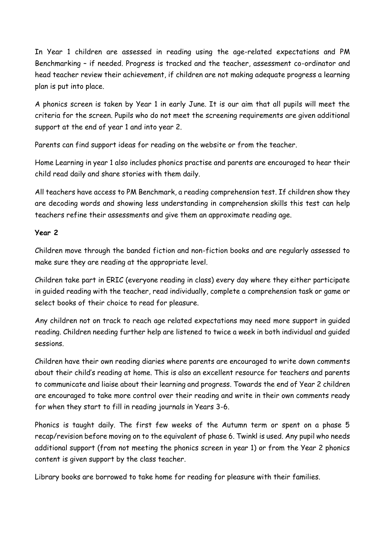In Year 1 children are assessed in reading using the age-related expectations and PM Benchmarking – if needed. Progress is tracked and the teacher, assessment co-ordinator and head teacher review their achievement, if children are not making adequate progress a learning plan is put into place.

A phonics screen is taken by Year 1 in early June. It is our aim that all pupils will meet the criteria for the screen. Pupils who do not meet the screening requirements are given additional support at the end of year 1 and into year 2.

Parents can find support ideas for reading on the website or from the teacher.

Home Learning in year 1 also includes phonics practise and parents are encouraged to hear their child read daily and share stories with them daily.

All teachers have access to PM Benchmark, a reading comprehension test. If children show they are decoding words and showing less understanding in comprehension skills this test can help teachers refine their assessments and give them an approximate reading age.

### **Year 2**

Children move through the banded fiction and non-fiction books and are regularly assessed to make sure they are reading at the appropriate level.

Children take part in ERIC (everyone reading in class) every day where they either participate in guided reading with the teacher, read individually, complete a comprehension task or game or select books of their choice to read for pleasure.

Any children not on track to reach age related expectations may need more support in guided reading. Children needing further help are listened to twice a week in both individual and guided sessions.

Children have their own reading diaries where parents are encouraged to write down comments about their child's reading at home. This is also an excellent resource for teachers and parents to communicate and liaise about their learning and progress. Towards the end of Year 2 children are encouraged to take more control over their reading and write in their own comments ready for when they start to fill in reading journals in Years 3-6.

Phonics is taught daily. The first few weeks of the Autumn term or spent on a phase 5 recap/revision before moving on to the equivalent of phase 6. Twinkl is used. Any pupil who needs additional support (from not meeting the phonics screen in year 1) or from the Year 2 phonics content is given support by the class teacher.

Library books are borrowed to take home for reading for pleasure with their families.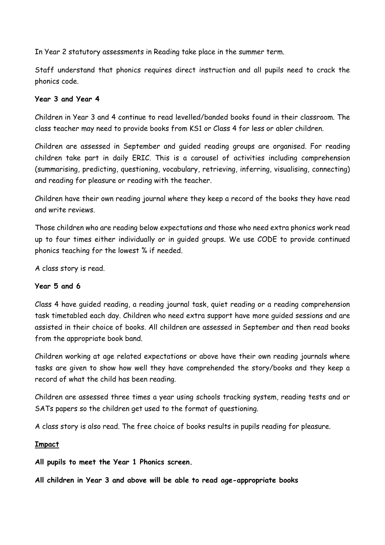In Year 2 statutory assessments in Reading take place in the summer term.

Staff understand that phonics requires direct instruction and all pupils need to crack the phonics code.

### **Year 3 and Year 4**

Children in Year 3 and 4 continue to read levelled/banded books found in their classroom. The class teacher may need to provide books from KS1 or Class 4 for less or abler children.

Children are assessed in September and guided reading groups are organised. For reading children take part in daily ERIC. This is a carousel of activities including comprehension (summarising, predicting, questioning, vocabulary, retrieving, inferring, visualising, connecting) and reading for pleasure or reading with the teacher.

Children have their own reading journal where they keep a record of the books they have read and write reviews.

Those children who are reading below expectations and those who need extra phonics work read up to four times either individually or in guided groups. We use CODE to provide continued phonics teaching for the lowest % if needed.

A class story is read.

### **Year 5 and 6**

Class 4 have guided reading, a reading journal task, quiet reading or a reading comprehension task timetabled each day. Children who need extra support have more guided sessions and are assisted in their choice of books. All children are assessed in September and then read books from the appropriate book band.

Children working at age related expectations or above have their own reading journals where tasks are given to show how well they have comprehended the story/books and they keep a record of what the child has been reading.

Children are assessed three times a year using schools tracking system, reading tests and or SATs papers so the children get used to the format of questioning.

A class story is also read. The free choice of books results in pupils reading for pleasure.

### **Impact**

**All pupils to meet the Year 1 Phonics screen.**

**All children in Year 3 and above will be able to read age-appropriate books**